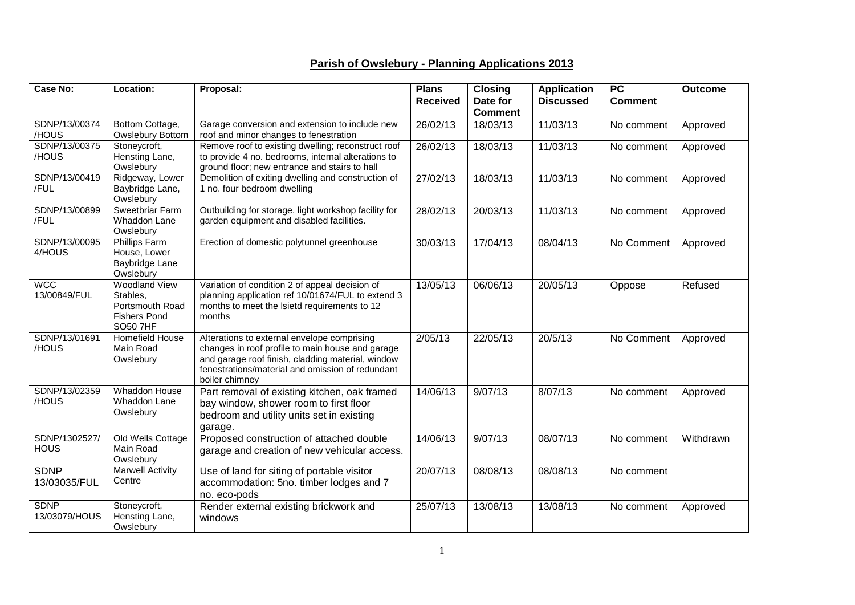## **Parish of Owslebury - Planning Applications 2013**

| <b>Case No:</b>              | Location:                                                                                     | Proposal:                                                                                                                                                                                                                  | <b>Plans</b>    | <b>Closing</b>             | <b>Application</b> | $\overline{PC}$ | <b>Outcome</b> |
|------------------------------|-----------------------------------------------------------------------------------------------|----------------------------------------------------------------------------------------------------------------------------------------------------------------------------------------------------------------------------|-----------------|----------------------------|--------------------|-----------------|----------------|
|                              |                                                                                               |                                                                                                                                                                                                                            | <b>Received</b> | Date for<br><b>Comment</b> | <b>Discussed</b>   | <b>Comment</b>  |                |
| SDNP/13/00374<br>/HOUS       | Bottom Cottage,<br>Owslebury Bottom                                                           | Garage conversion and extension to include new<br>roof and minor changes to fenestration                                                                                                                                   | 26/02/13        | 18/03/13                   | 11/03/13           | No comment      | Approved       |
| SDNP/13/00375<br>/HOUS       | Stoneycroft,<br>Hensting Lane,<br>Owslebury                                                   | Remove roof to existing dwelling; reconstruct roof<br>to provide 4 no. bedrooms, internal alterations to<br>ground floor; new entrance and stairs to hall                                                                  | 26/02/13        | 18/03/13                   | 11/03/13           | No comment      | Approved       |
| SDNP/13/00419<br>/FUL        | Ridgeway, Lower<br>Baybridge Lane,<br>Owslebury                                               | Demolition of exiting dwelling and construction of<br>1 no. four bedroom dwelling                                                                                                                                          | 27/02/13        | 18/03/13                   | 11/03/13           | No comment      | Approved       |
| SDNP/13/00899<br>/FUL        | <b>Sweetbriar Farm</b><br>Whaddon Lane<br>Owslebury                                           | Outbuilding for storage, light workshop facility for<br>garden equipment and disabled facilities.                                                                                                                          | 28/02/13        | 20/03/13                   | 11/03/13           | No comment      | Approved       |
| SDNP/13/00095<br>4/HOUS      | Phillips Farm<br>House, Lower<br>Baybridge Lane<br>Owslebury                                  | Erection of domestic polytunnel greenhouse                                                                                                                                                                                 | 30/03/13        | 17/04/13                   | 08/04/13           | No Comment      | Approved       |
| <b>WCC</b><br>13/00849/FUL   | <b>Woodland View</b><br>Stables,<br>Portsmouth Road<br><b>Fishers Pond</b><br><b>SO50 7HF</b> | Variation of condition 2 of appeal decision of<br>planning application ref 10/01674/FUL to extend 3<br>months to meet the Isietd requirements to 12<br>months                                                              | 13/05/13        | 06/06/13                   | 20/05/13           | Oppose          | Refused        |
| SDNP/13/01691<br>/HOUS       | Homefield House<br>Main Road<br>Owslebury                                                     | Alterations to external envelope comprising<br>changes in roof profile to main house and garage<br>and garage roof finish, cladding material, window<br>fenestrations/material and omission of redundant<br>boiler chimney | 2/05/13         | 22/05/13                   | 20/5/13            | No Comment      | Approved       |
| SDNP/13/02359<br>/HOUS       | <b>Whaddon House</b><br>Whaddon Lane<br>Owslebury                                             | Part removal of existing kitchen, oak framed<br>bay window, shower room to first floor<br>bedroom and utility units set in existing<br>garage.                                                                             | 14/06/13        | 9/07/13                    | 8/07/13            | No comment      | Approved       |
| SDNP/1302527/<br><b>HOUS</b> | Old Wells Cottage<br>Main Road<br>Owslebury                                                   | Proposed construction of attached double<br>garage and creation of new vehicular access.                                                                                                                                   | 14/06/13        | 9/07/13                    | 08/07/13           | No comment      | Withdrawn      |
| <b>SDNP</b><br>13/03035/FUL  | <b>Marwell Activity</b><br>Centre                                                             | Use of land for siting of portable visitor<br>accommodation: 5no. timber lodges and 7<br>no. eco-pods                                                                                                                      | 20/07/13        | 08/08/13                   | 08/08/13           | No comment      |                |
| <b>SDNP</b><br>13/03079/HOUS | Stoneycroft,<br>Hensting Lane,<br>Owslebury                                                   | Render external existing brickwork and<br>windows                                                                                                                                                                          | 25/07/13        | 13/08/13                   | 13/08/13           | No comment      | Approved       |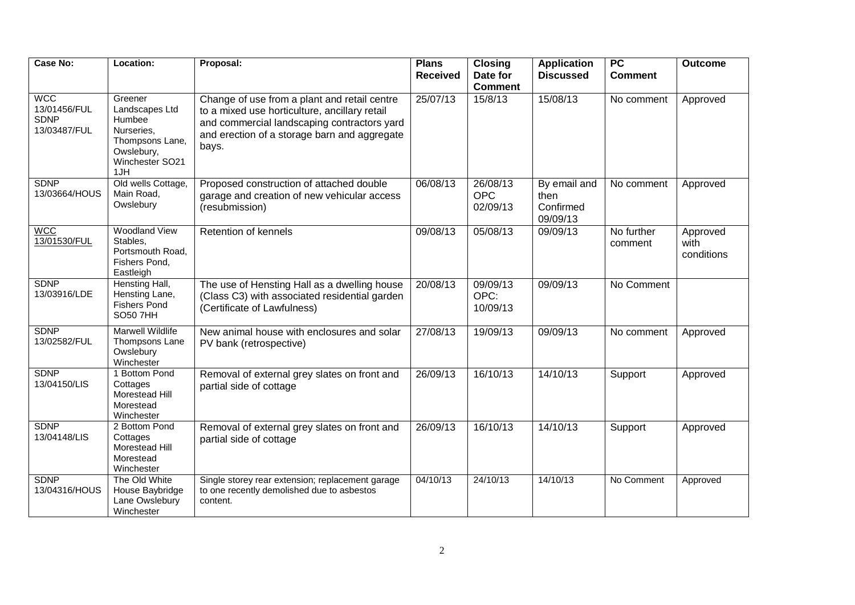| <b>Case No:</b>                                           | Location:                                                                                                    | Proposal:                                                                                                                                                                                             | <b>Plans</b><br><b>Received</b> | <b>Closing</b><br>Date for<br><b>Comment</b> | <b>Application</b><br><b>Discussed</b>        | $\overline{PC}$<br><b>Comment</b> | <b>Outcome</b>                 |
|-----------------------------------------------------------|--------------------------------------------------------------------------------------------------------------|-------------------------------------------------------------------------------------------------------------------------------------------------------------------------------------------------------|---------------------------------|----------------------------------------------|-----------------------------------------------|-----------------------------------|--------------------------------|
| <b>WCC</b><br>13/01456/FUL<br><b>SDNP</b><br>13/03487/FUL | Greener<br>Landscapes Ltd<br>Humbee<br>Nurseries,<br>Thompsons Lane,<br>Owslebury,<br>Winchester SO21<br>1JH | Change of use from a plant and retail centre<br>to a mixed use horticulture, ancillary retail<br>and commercial landscaping contractors yard<br>and erection of a storage barn and aggregate<br>bays. | 25/07/13                        | 15/8/13                                      | 15/08/13                                      | No comment                        | Approved                       |
| <b>SDNP</b><br>13/03664/HOUS                              | Old wells Cottage,<br>Main Road,<br>Owslebury                                                                | Proposed construction of attached double<br>garage and creation of new vehicular access<br>(resubmission)                                                                                             | 06/08/13                        | 26/08/13<br><b>OPC</b><br>02/09/13           | By email and<br>then<br>Confirmed<br>09/09/13 | No comment                        | Approved                       |
| <b>MCC</b><br>13/01530/FUL                                | <b>Woodland View</b><br>Stables,<br>Portsmouth Road,<br>Fishers Pond,<br>Eastleigh                           | Retention of kennels                                                                                                                                                                                  | 09/08/13                        | 05/08/13                                     | 09/09/13                                      | No further<br>comment             | Approved<br>with<br>conditions |
| <b>SDNP</b><br>13/03916/LDE                               | Hensting Hall,<br>Hensting Lane,<br><b>Fishers Pond</b><br><b>SO50 7HH</b>                                   | The use of Hensting Hall as a dwelling house<br>(Class C3) with associated residential garden<br>(Certificate of Lawfulness)                                                                          | 20/08/13                        | 09/09/13<br>OPC:<br>10/09/13                 | 09/09/13                                      | No Comment                        |                                |
| <b>SDNP</b><br>13/02582/FUL                               | <b>Marwell Wildlife</b><br>Thompsons Lane<br>Owslebury<br>Winchester                                         | New animal house with enclosures and solar<br>PV bank (retrospective)                                                                                                                                 | 27/08/13                        | 19/09/13                                     | 09/09/13                                      | No comment                        | Approved                       |
| <b>SDNP</b><br>13/04150/LIS                               | 1 Bottom Pond<br>Cottages<br>Morestead Hill<br>Morestead<br>Winchester                                       | Removal of external grey slates on front and<br>partial side of cottage                                                                                                                               | 26/09/13                        | 16/10/13                                     | 14/10/13                                      | Support                           | Approved                       |
| <b>SDNP</b><br>13/04148/LIS                               | 2 Bottom Pond<br>Cottages<br>Morestead Hill<br>Morestead<br>Winchester                                       | Removal of external grey slates on front and<br>partial side of cottage                                                                                                                               | 26/09/13                        | 16/10/13                                     | 14/10/13                                      | Support                           | Approved                       |
| <b>SDNP</b><br>13/04316/HOUS                              | The Old White<br>House Baybridge<br>Lane Owslebury<br>Winchester                                             | Single storey rear extension; replacement garage<br>to one recently demolished due to asbestos<br>content.                                                                                            | 04/10/13                        | 24/10/13                                     | 14/10/13                                      | No Comment                        | Approved                       |